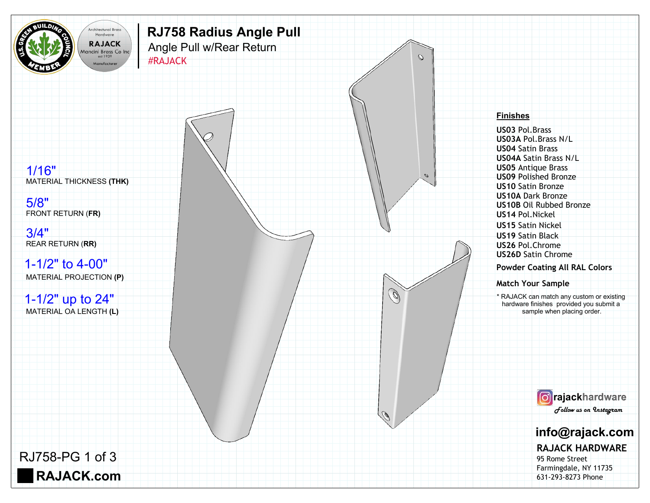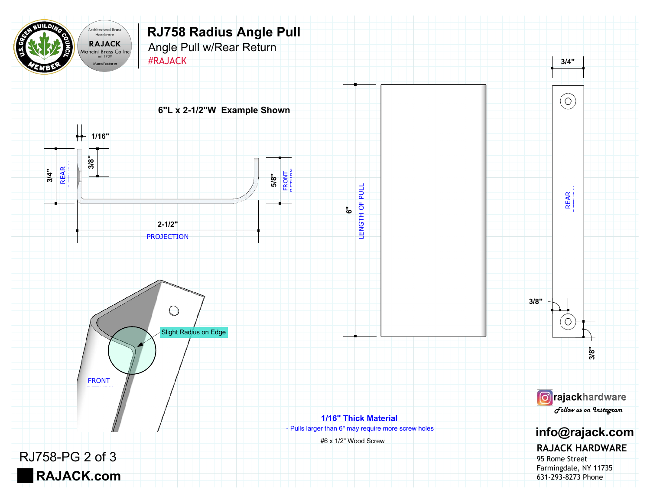